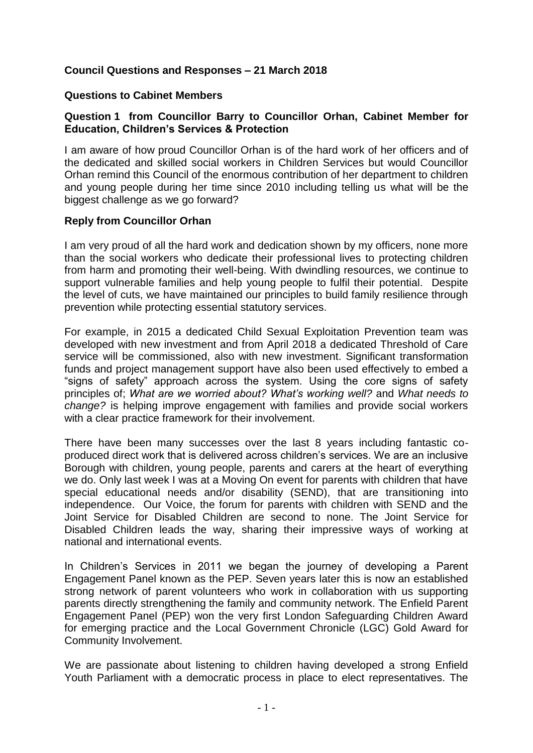## **Council Questions and Responses – 21 March 2018**

#### **Questions to Cabinet Members**

#### **Question 1 from Councillor Barry to Councillor Orhan, Cabinet Member for Education, Children's Services & Protection**

I am aware of how proud Councillor Orhan is of the hard work of her officers and of the dedicated and skilled social workers in Children Services but would Councillor Orhan remind this Council of the enormous contribution of her department to children and young people during her time since 2010 including telling us what will be the biggest challenge as we go forward?

#### **Reply from Councillor Orhan**

I am very proud of all the hard work and dedication shown by my officers, none more than the social workers who dedicate their professional lives to protecting children from harm and promoting their well-being. With dwindling resources, we continue to support vulnerable families and help young people to fulfil their potential. Despite the level of cuts, we have maintained our principles to build family resilience through prevention while protecting essential statutory services.

For example, in 2015 a dedicated Child Sexual Exploitation Prevention team was developed with new investment and from April 2018 a dedicated Threshold of Care service will be commissioned, also with new investment. Significant transformation funds and project management support have also been used effectively to embed a "signs of safety" approach across the system. Using the core signs of safety principles of; *What are we worried about? What's working well?* and *What needs to change?* is helping improve engagement with families and provide social workers with a clear practice framework for their involvement.

There have been many successes over the last 8 years including fantastic coproduced direct work that is delivered across children's services. We are an inclusive Borough with children, young people, parents and carers at the heart of everything we do. Only last week I was at a Moving On event for parents with children that have special educational needs and/or disability (SEND), that are transitioning into independence. Our Voice, the forum for parents with children with SEND and the Joint Service for Disabled Children are second to none. The Joint Service for Disabled Children leads the way, sharing their impressive ways of working at national and international events.

In Children's Services in 2011 we began the journey of developing a Parent Engagement Panel known as the PEP. Seven years later this is now an established strong network of parent volunteers who work in collaboration with us supporting parents directly strengthening the family and community network. The Enfield Parent Engagement Panel (PEP) won the very first London Safeguarding Children Award for emerging practice and the Local Government Chronicle (LGC) Gold Award for Community Involvement.

We are passionate about listening to children having developed a strong Enfield Youth Parliament with a democratic process in place to elect representatives. The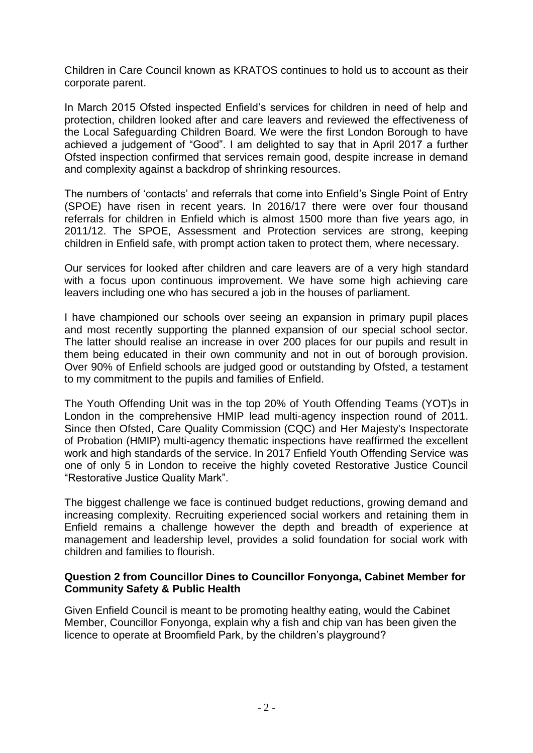Children in Care Council known as KRATOS continues to hold us to account as their corporate parent.

In March 2015 Ofsted inspected Enfield's services for children in need of help and protection, children looked after and care leavers and reviewed the effectiveness of the Local Safeguarding Children Board. We were the first London Borough to have achieved a judgement of "Good". I am delighted to say that in April 2017 a further Ofsted inspection confirmed that services remain good, despite increase in demand and complexity against a backdrop of shrinking resources.

The numbers of 'contacts' and referrals that come into Enfield's Single Point of Entry (SPOE) have risen in recent years. In 2016/17 there were over four thousand referrals for children in Enfield which is almost 1500 more than five years ago, in 2011/12. The SPOE, Assessment and Protection services are strong, keeping children in Enfield safe, with prompt action taken to protect them, where necessary.

Our services for looked after children and care leavers are of a very high standard with a focus upon continuous improvement. We have some high achieving care leavers including one who has secured a job in the houses of parliament.

I have championed our schools over seeing an expansion in primary pupil places and most recently supporting the planned expansion of our special school sector. The latter should realise an increase in over 200 places for our pupils and result in them being educated in their own community and not in out of borough provision. Over 90% of Enfield schools are judged good or outstanding by Ofsted, a testament to my commitment to the pupils and families of Enfield.

The Youth Offending Unit was in the top 20% of Youth Offending Teams (YOT)s in London in the comprehensive HMIP lead multi-agency inspection round of 2011. Since then Ofsted, Care Quality Commission (CQC) and Her Majesty's Inspectorate of Probation (HMIP) multi-agency thematic inspections have reaffirmed the excellent work and high standards of the service. In 2017 Enfield Youth Offending Service was one of only 5 in London to receive the highly coveted Restorative Justice Council "Restorative Justice Quality Mark".

The biggest challenge we face is continued budget reductions, growing demand and increasing complexity. Recruiting experienced social workers and retaining them in Enfield remains a challenge however the depth and breadth of experience at management and leadership level, provides a solid foundation for social work with children and families to flourish.

#### **Question 2 from Councillor Dines to Councillor Fonyonga, Cabinet Member for Community Safety & Public Health**

Given Enfield Council is meant to be promoting healthy eating, would the Cabinet Member, Councillor Fonyonga, explain why a fish and chip van has been given the licence to operate at Broomfield Park, by the children's playground?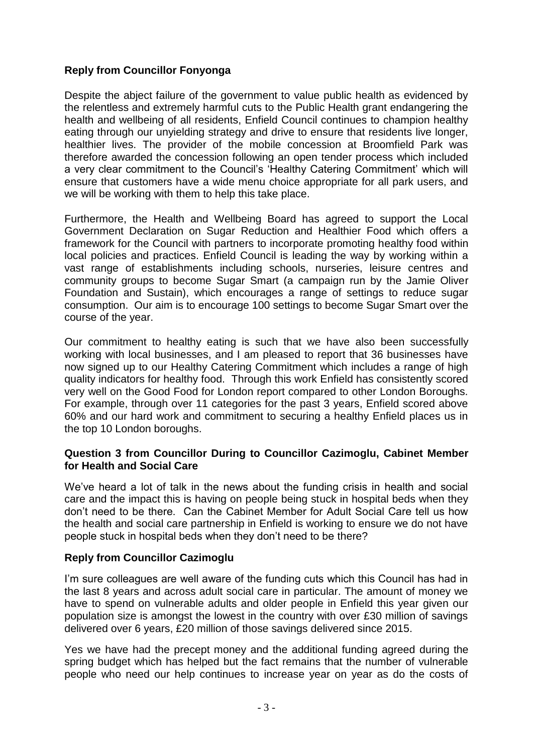# **Reply from Councillor Fonyonga**

Despite the abject failure of the government to value public health as evidenced by the relentless and extremely harmful cuts to the Public Health grant endangering the health and wellbeing of all residents, Enfield Council continues to champion healthy eating through our unyielding strategy and drive to ensure that residents live longer, healthier lives. The provider of the mobile concession at Broomfield Park was therefore awarded the concession following an open tender process which included a very clear commitment to the Council's 'Healthy Catering Commitment' which will ensure that customers have a wide menu choice appropriate for all park users, and we will be working with them to help this take place.

Furthermore, the Health and Wellbeing Board has agreed to support the Local Government Declaration on Sugar Reduction and Healthier Food which offers a framework for the Council with partners to incorporate promoting healthy food within local policies and practices. Enfield Council is leading the way by working within a vast range of establishments including schools, nurseries, leisure centres and community groups to become Sugar Smart (a campaign run by the Jamie Oliver Foundation and Sustain), which encourages a range of settings to reduce sugar consumption. Our aim is to encourage 100 settings to become Sugar Smart over the course of the year.

Our commitment to healthy eating is such that we have also been successfully working with local businesses, and I am pleased to report that 36 businesses have now signed up to our Healthy Catering Commitment which includes a range of high quality indicators for healthy food. Through this work Enfield has consistently scored very well on the Good Food for London report compared to other London Boroughs. For example, through over 11 categories for the past 3 years, Enfield scored above 60% and our hard work and commitment to securing a healthy Enfield places us in the top 10 London boroughs.

#### **Question 3 from Councillor During to Councillor Cazimoglu, Cabinet Member for Health and Social Care**

We've heard a lot of talk in the news about the funding crisis in health and social care and the impact this is having on people being stuck in hospital beds when they don't need to be there. Can the Cabinet Member for Adult Social Care tell us how the health and social care partnership in Enfield is working to ensure we do not have people stuck in hospital beds when they don't need to be there?

## **Reply from Councillor Cazimoglu**

I'm sure colleagues are well aware of the funding cuts which this Council has had in the last 8 years and across adult social care in particular. The amount of money we have to spend on vulnerable adults and older people in Enfield this year given our population size is amongst the lowest in the country with over £30 million of savings delivered over 6 years, £20 million of those savings delivered since 2015.

Yes we have had the precept money and the additional funding agreed during the spring budget which has helped but the fact remains that the number of vulnerable people who need our help continues to increase year on year as do the costs of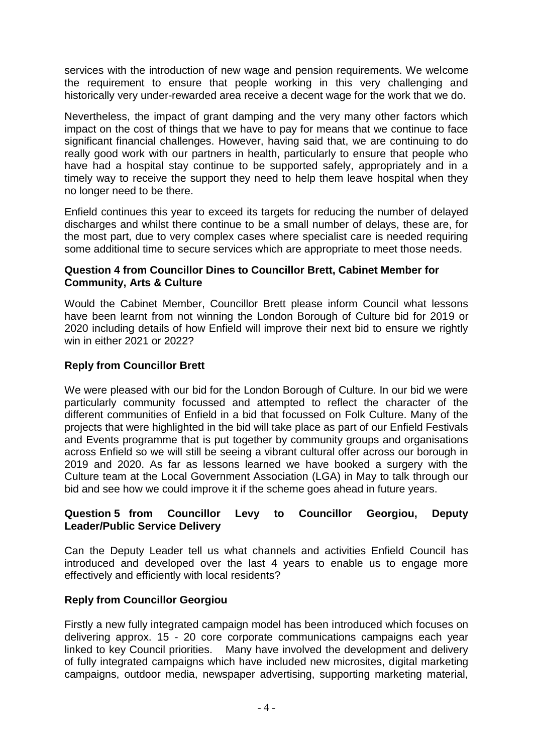services with the introduction of new wage and pension requirements. We welcome the requirement to ensure that people working in this very challenging and historically very under-rewarded area receive a decent wage for the work that we do.

Nevertheless, the impact of grant damping and the very many other factors which impact on the cost of things that we have to pay for means that we continue to face significant financial challenges. However, having said that, we are continuing to do really good work with our partners in health, particularly to ensure that people who have had a hospital stay continue to be supported safely, appropriately and in a timely way to receive the support they need to help them leave hospital when they no longer need to be there.

Enfield continues this year to exceed its targets for reducing the number of delayed discharges and whilst there continue to be a small number of delays, these are, for the most part, due to very complex cases where specialist care is needed requiring some additional time to secure services which are appropriate to meet those needs.

## **Question 4 from Councillor Dines to Councillor Brett, Cabinet Member for Community, Arts & Culture**

Would the Cabinet Member, Councillor Brett please inform Council what lessons have been learnt from not winning the London Borough of Culture bid for 2019 or 2020 including details of how Enfield will improve their next bid to ensure we rightly win in either 2021 or 2022?

# **Reply from Councillor Brett**

We were pleased with our bid for the London Borough of Culture. In our bid we were particularly community focussed and attempted to reflect the character of the different communities of Enfield in a bid that focussed on Folk Culture. Many of the projects that were highlighted in the bid will take place as part of our Enfield Festivals and Events programme that is put together by community groups and organisations across Enfield so we will still be seeing a vibrant cultural offer across our borough in 2019 and 2020. As far as lessons learned we have booked a surgery with the Culture team at the Local Government Association (LGA) in May to talk through our bid and see how we could improve it if the scheme goes ahead in future years.

## **Question 5 from Councillor Levy to Councillor Georgiou, Deputy Leader/Public Service Delivery**

Can the Deputy Leader tell us what channels and activities Enfield Council has introduced and developed over the last 4 years to enable us to engage more effectively and efficiently with local residents?

## **Reply from Councillor Georgiou**

Firstly a new fully integrated campaign model has been introduced which focuses on delivering approx. 15 - 20 core corporate communications campaigns each year linked to key Council priorities. Many have involved the development and delivery of fully integrated campaigns which have included new microsites, digital marketing campaigns, outdoor media, newspaper advertising, supporting marketing material,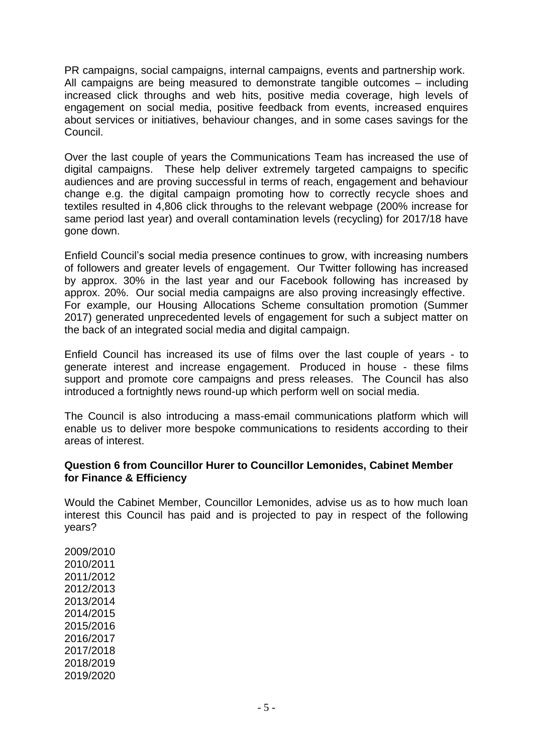PR campaigns, social campaigns, internal campaigns, events and partnership work. All campaigns are being measured to demonstrate tangible outcomes – including increased click throughs and web hits, positive media coverage, high levels of engagement on social media, positive feedback from events, increased enquires about services or initiatives, behaviour changes, and in some cases savings for the Council.

Over the last couple of years the Communications Team has increased the use of digital campaigns. These help deliver extremely targeted campaigns to specific audiences and are proving successful in terms of reach, engagement and behaviour change e.g. the digital campaign promoting how to correctly recycle shoes and textiles resulted in 4,806 click throughs to the relevant webpage (200% increase for same period last year) and overall contamination levels (recycling) for 2017/18 have gone down.

Enfield Council's social media presence continues to grow, with increasing numbers of followers and greater levels of engagement. Our Twitter following has increased by approx. 30% in the last year and our Facebook following has increased by approx. 20%. Our social media campaigns are also proving increasingly effective. For example, our Housing Allocations Scheme consultation promotion (Summer 2017) generated unprecedented levels of engagement for such a subject matter on the back of an integrated social media and digital campaign.

Enfield Council has increased its use of films over the last couple of years - to generate interest and increase engagement. Produced in house - these films support and promote core campaigns and press releases. The Council has also introduced a fortnightly news round-up which perform well on social media.

The Council is also introducing a mass-email communications platform which will enable us to deliver more bespoke communications to residents according to their areas of interest.

#### **Question 6 from Councillor Hurer to Councillor Lemonides, Cabinet Member for Finance & Efficiency**

Would the Cabinet Member, Councillor Lemonides, advise us as to how much loan interest this Council has paid and is projected to pay in respect of the following years?

2009/2010 2010/2011 2011/2012 2012/2013 2013/2014 2014/2015 2015/2016 2016/2017 2017/2018 2018/2019 2019/2020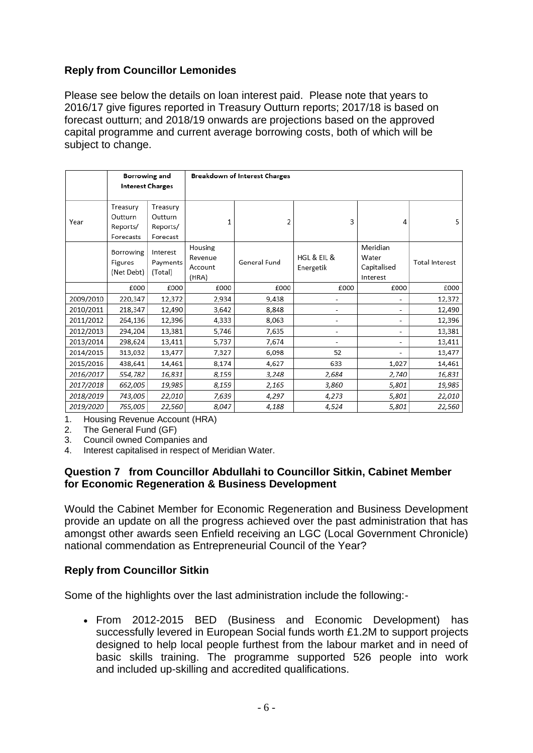# **Reply from Councillor Lemonides**

Please see below the details on loan interest paid. Please note that years to 2016/17 give figures reported in Treasury Outturn reports; 2017/18 is based on forecast outturn; and 2018/19 onwards are projections based on the approved capital programme and current average borrowing costs, both of which will be subject to change.

|           | Borrowing and<br><b>Interest Charges</b>     |                                             | <b>Breakdown of Interest Charges</b>   |              |                          |                                              |                       |  |
|-----------|----------------------------------------------|---------------------------------------------|----------------------------------------|--------------|--------------------------|----------------------------------------------|-----------------------|--|
| Year      | Treasury<br>Outturn<br>Reports/<br>Forecasts | Treasury<br>Outturn<br>Reports/<br>Forecast | 1                                      | 2            | 3                        | 4                                            | 5                     |  |
|           | Borrowing<br>Figures<br>(Net Debt)           | Interest<br>Payments<br>(Total)             | Housing<br>Revenue<br>Account<br>(HRA) | General Fund | HGL & EIL &<br>Energetik | Meridian<br>Water<br>Capitalised<br>Interest | <b>Total Interest</b> |  |
|           | £000                                         | £000                                        | £000                                   | £000         | £000                     | £000                                         | £000                  |  |
| 2009/2010 | 220,347                                      | 12,372                                      | 2,934                                  | 9,438        |                          |                                              | 12,372                |  |
| 2010/2011 | 218,347                                      | 12,490                                      | 3,642                                  | 8,848        | ۰                        |                                              | 12,490                |  |
| 2011/2012 | 264,136                                      | 12,396                                      | 4,333                                  | 8,063        | $\overline{\phantom{a}}$ | -                                            | 12,396                |  |
| 2012/2013 | 294,204                                      | 13,381                                      | 5,746                                  | 7,635        | $\overline{\phantom{a}}$ |                                              | 13,381                |  |
| 2013/2014 | 298,624                                      | 13,411                                      | 5,737                                  | 7,674        |                          |                                              | 13,411                |  |
| 2014/2015 | 313,032                                      | 13,477                                      | 7,327                                  | 6.098        | 52                       | ۰                                            | 13,477                |  |
| 2015/2016 | 438,641                                      | 14,461                                      | 8,174                                  | 4,627        | 633                      | 1,027                                        | 14,461                |  |
| 2016/2017 | 554,782                                      | 16,831                                      | 8,159                                  | 3,248        | 2,684                    | 2,740                                        | 16,831                |  |
| 2017/2018 | 662,005                                      | 19,985                                      | 8,159                                  | 2,165        | 3,860                    | 5,801                                        | 19,985                |  |
| 2018/2019 | 743,005                                      | 22,010                                      | 7,639                                  | 4,297        | 4,273                    | 5,801                                        | 22,010                |  |
| 2019/2020 | 765,005                                      | 22,560                                      | 8,047                                  | 4,188        | 4,524                    | 5,801                                        | 22,560                |  |

1. Housing Revenue Account (HRA)

2. The General Fund (GF)

3. Council owned Companies and

4. Interest capitalised in respect of Meridian Water.

## **Question 7 from Councillor Abdullahi to Councillor Sitkin, Cabinet Member for Economic Regeneration & Business Development**

Would the Cabinet Member for Economic Regeneration and Business Development provide an update on all the progress achieved over the past administration that has amongst other awards seen Enfield receiving an LGC (Local Government Chronicle) national commendation as Entrepreneurial Council of the Year?

#### **Reply from Councillor Sitkin**

Some of the highlights over the last administration include the following:-

 From 2012-2015 BED (Business and Economic Development) has successfully levered in European Social funds worth £1.2M to support projects designed to help local people furthest from the labour market and in need of basic skills training. The programme supported 526 people into work and included up-skilling and accredited qualifications.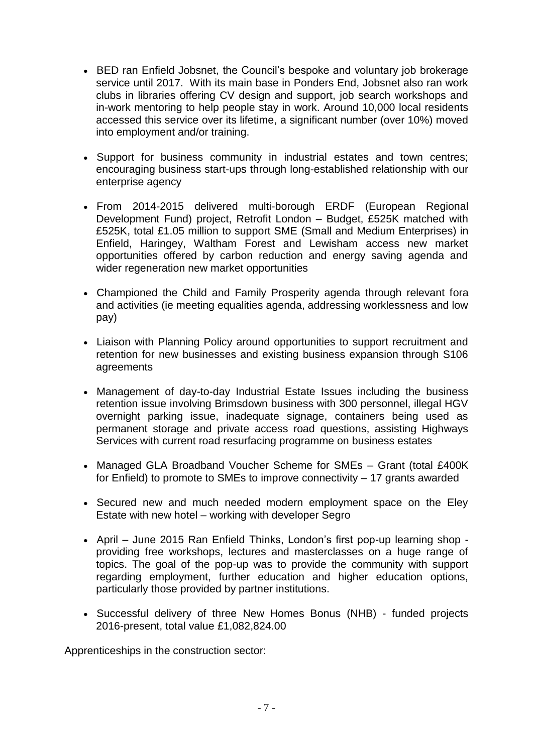- BED ran Enfield Jobsnet, the Council's bespoke and voluntary job brokerage service until 2017. With its main base in Ponders End, Jobsnet also ran work clubs in libraries offering CV design and support, job search workshops and in-work mentoring to help people stay in work. Around 10,000 local residents accessed this service over its lifetime, a significant number (over 10%) moved into employment and/or training.
- Support for business community in industrial estates and town centres; encouraging business start-ups through long-established relationship with our enterprise agency
- From 2014-2015 delivered multi-borough ERDF (European Regional Development Fund) project, Retrofit London – Budget, £525K matched with £525K, total £1.05 million to support SME (Small and Medium Enterprises) in Enfield, Haringey, Waltham Forest and Lewisham access new market opportunities offered by carbon reduction and energy saving agenda and wider regeneration new market opportunities
- Championed the Child and Family Prosperity agenda through relevant fora and activities (ie meeting equalities agenda, addressing worklessness and low pay)
- Liaison with Planning Policy around opportunities to support recruitment and retention for new businesses and existing business expansion through S106 agreements
- Management of day-to-day Industrial Estate Issues including the business retention issue involving Brimsdown business with 300 personnel, illegal HGV overnight parking issue, inadequate signage, containers being used as permanent storage and private access road questions, assisting Highways Services with current road resurfacing programme on business estates
- Managed GLA Broadband Voucher Scheme for SMEs Grant (total £400K for Enfield) to promote to SMEs to improve connectivity – 17 grants awarded
- Secured new and much needed modern employment space on the Eley Estate with new hotel – working with developer Segro
- April June 2015 Ran Enfield Thinks, London's first pop-up learning shop providing free workshops, lectures and masterclasses on a huge range of topics. The goal of the pop-up was to provide the community with support regarding employment, further education and higher education options, particularly those provided by partner institutions.
- Successful delivery of three New Homes Bonus (NHB) funded projects 2016-present, total value £1,082,824.00

Apprenticeships in the construction sector: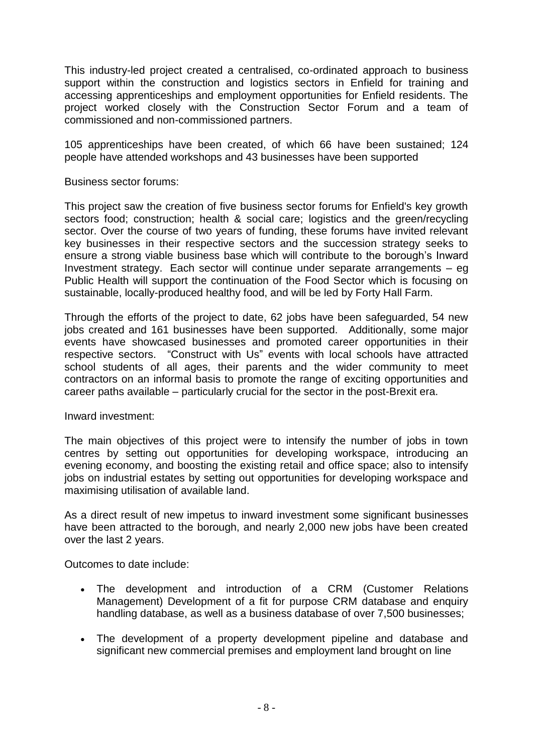This industry-led project created a centralised, co-ordinated approach to business support within the construction and logistics sectors in Enfield for training and accessing apprenticeships and employment opportunities for Enfield residents. The project worked closely with the Construction Sector Forum and a team of commissioned and non-commissioned partners.

105 apprenticeships have been created, of which 66 have been sustained; 124 people have attended workshops and 43 businesses have been supported

Business sector forums:

This project saw the creation of five business sector forums for Enfield's key growth sectors food; construction; health & social care; logistics and the green/recycling sector. Over the course of two years of funding, these forums have invited relevant key businesses in their respective sectors and the succession strategy seeks to ensure a strong viable business base which will contribute to the borough's Inward Investment strategy. Each sector will continue under separate arrangements – eg Public Health will support the continuation of the Food Sector which is focusing on sustainable, locally-produced healthy food, and will be led by Forty Hall Farm.

Through the efforts of the project to date, 62 jobs have been safeguarded, 54 new jobs created and 161 businesses have been supported. Additionally, some major events have showcased businesses and promoted career opportunities in their respective sectors. "Construct with Us" events with local schools have attracted school students of all ages, their parents and the wider community to meet contractors on an informal basis to promote the range of exciting opportunities and career paths available – particularly crucial for the sector in the post-Brexit era.

Inward investment:

The main objectives of this project were to intensify the number of jobs in town centres by setting out opportunities for developing workspace, introducing an evening economy, and boosting the existing retail and office space; also to intensify jobs on industrial estates by setting out opportunities for developing workspace and maximising utilisation of available land.

As a direct result of new impetus to inward investment some significant businesses have been attracted to the borough, and nearly 2,000 new jobs have been created over the last 2 years.

Outcomes to date include:

- The development and introduction of a CRM (Customer Relations Management) Development of a fit for purpose CRM database and enquiry handling database, as well as a business database of over 7,500 businesses;
- The development of a property development pipeline and database and significant new commercial premises and employment land brought on line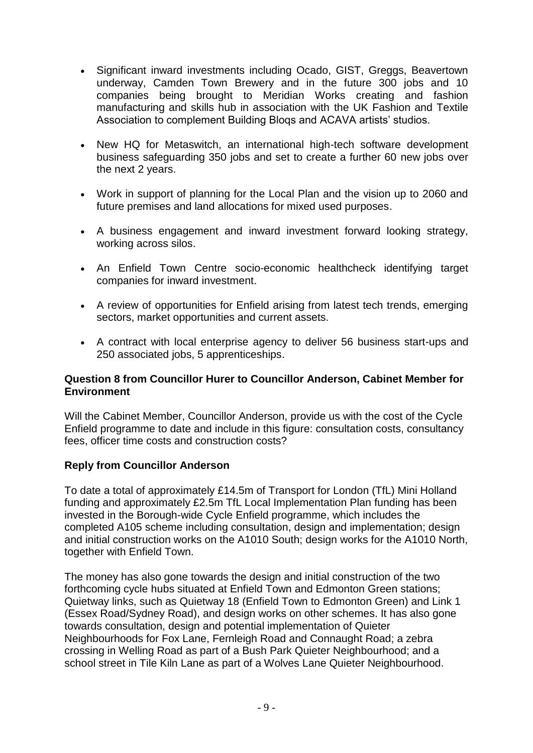- Significant inward investments including Ocado, GIST, Greggs, Beavertown underway, Camden Town Brewery and in the future 300 jobs and 10 companies being brought to Meridian Works creating and fashion manufacturing and skills hub in association with the UK Fashion and Textile Association to complement Building Bloqs and ACAVA artists' studios.
- New HQ for Metaswitch, an international high-tech software development business safeguarding 350 jobs and set to create a further 60 new jobs over the next 2 years.
- Work in support of planning for the Local Plan and the vision up to 2060 and future premises and land allocations for mixed used purposes.
- A business engagement and inward investment forward looking strategy, working across silos.
- An Enfield Town Centre socio-economic healthcheck identifying target companies for inward investment.
- A review of opportunities for Enfield arising from latest tech trends, emerging sectors, market opportunities and current assets.
- A contract with local enterprise agency to deliver 56 business start-ups and 250 associated jobs, 5 apprenticeships.

## **Question 8 from Councillor Hurer to Councillor Anderson, Cabinet Member for Environment**

Will the Cabinet Member, Councillor Anderson, provide us with the cost of the Cycle Enfield programme to date and include in this figure: consultation costs, consultancy fees, officer time costs and construction costs?

## **Reply from Councillor Anderson**

To date a total of approximately £14.5m of Transport for London (TfL) Mini Holland funding and approximately £2.5m TfL Local Implementation Plan funding has been invested in the Borough-wide Cycle Enfield programme, which includes the completed A105 scheme including consultation, design and implementation; design and initial construction works on the A1010 South; design works for the A1010 North, together with Enfield Town.

The money has also gone towards the design and initial construction of the two forthcoming cycle hubs situated at Enfield Town and Edmonton Green stations; Quietway links, such as Quietway 18 (Enfield Town to Edmonton Green) and Link 1 (Essex Road/Sydney Road), and design works on other schemes. It has also gone towards consultation, design and potential implementation of Quieter Neighbourhoods for Fox Lane, Fernleigh Road and Connaught Road; a zebra crossing in Welling Road as part of a Bush Park Quieter Neighbourhood; and a school street in Tile Kiln Lane as part of a Wolves Lane Quieter Neighbourhood.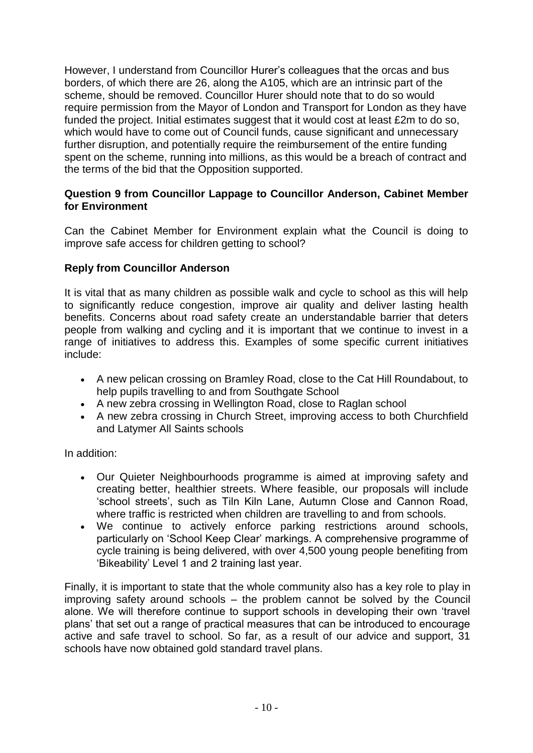However, I understand from Councillor Hurer's colleagues that the orcas and bus borders, of which there are 26, along the A105, which are an intrinsic part of the scheme, should be removed. Councillor Hurer should note that to do so would require permission from the Mayor of London and Transport for London as they have funded the project. Initial estimates suggest that it would cost at least £2m to do so, which would have to come out of Council funds, cause significant and unnecessary further disruption, and potentially require the reimbursement of the entire funding spent on the scheme, running into millions, as this would be a breach of contract and the terms of the bid that the Opposition supported.

## **Question 9 from Councillor Lappage to Councillor Anderson, Cabinet Member for Environment**

Can the Cabinet Member for Environment explain what the Council is doing to improve safe access for children getting to school?

## **Reply from Councillor Anderson**

It is vital that as many children as possible walk and cycle to school as this will help to significantly reduce congestion, improve air quality and deliver lasting health benefits. Concerns about road safety create an understandable barrier that deters people from walking and cycling and it is important that we continue to invest in a range of initiatives to address this. Examples of some specific current initiatives include:

- A new pelican crossing on Bramley Road, close to the Cat Hill Roundabout, to help pupils travelling to and from Southgate School
- A new zebra crossing in Wellington Road, close to Raglan school
- A new zebra crossing in Church Street, improving access to both Churchfield and Latymer All Saints schools

In addition:

- Our Quieter Neighbourhoods programme is aimed at improving safety and creating better, healthier streets. Where feasible, our proposals will include 'school streets', such as Tiln Kiln Lane, Autumn Close and Cannon Road, where traffic is restricted when children are travelling to and from schools.
- We continue to actively enforce parking restrictions around schools, particularly on 'School Keep Clear' markings. A comprehensive programme of cycle training is being delivered, with over 4,500 young people benefiting from 'Bikeability' Level 1 and 2 training last year.

Finally, it is important to state that the whole community also has a key role to play in improving safety around schools – the problem cannot be solved by the Council alone. We will therefore continue to support schools in developing their own 'travel plans' that set out a range of practical measures that can be introduced to encourage active and safe travel to school. So far, as a result of our advice and support, 31 schools have now obtained gold standard travel plans.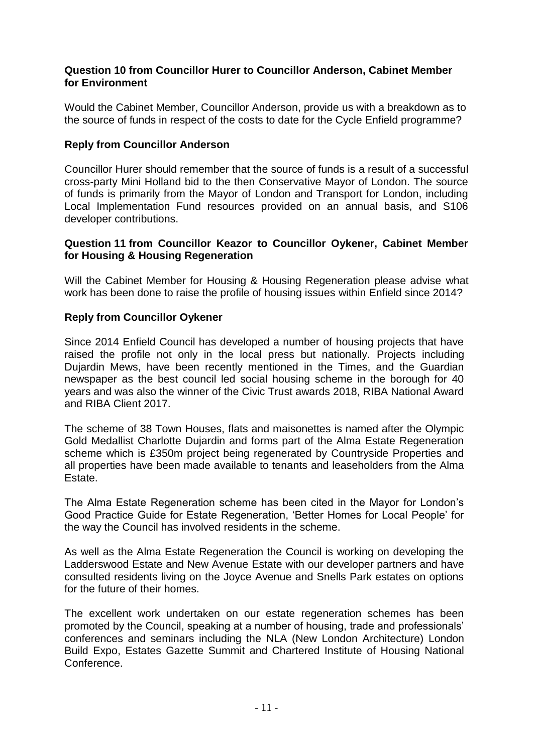#### **Question 10 from Councillor Hurer to Councillor Anderson, Cabinet Member for Environment**

Would the Cabinet Member, Councillor Anderson, provide us with a breakdown as to the source of funds in respect of the costs to date for the Cycle Enfield programme?

## **Reply from Councillor Anderson**

Councillor Hurer should remember that the source of funds is a result of a successful cross-party Mini Holland bid to the then Conservative Mayor of London. The source of funds is primarily from the Mayor of London and Transport for London, including Local Implementation Fund resources provided on an annual basis, and S106 developer contributions.

#### **Question 11 from Councillor Keazor to Councillor Oykener, Cabinet Member for Housing & Housing Regeneration**

Will the Cabinet Member for Housing & Housing Regeneration please advise what work has been done to raise the profile of housing issues within Enfield since 2014?

## **Reply from Councillor Oykener**

Since 2014 Enfield Council has developed a number of housing projects that have raised the profile not only in the local press but nationally. Projects including Dujardin Mews, have been recently mentioned in the Times, and the Guardian newspaper as the best council led social housing scheme in the borough for 40 years and was also the winner of the Civic Trust awards 2018, RIBA National Award and RIBA Client 2017.

The scheme of 38 Town Houses, flats and maisonettes is named after the Olympic Gold Medallist Charlotte Dujardin and forms part of the Alma Estate Regeneration scheme which is £350m project being regenerated by Countryside Properties and all properties have been made available to tenants and leaseholders from the Alma Estate.

The Alma Estate Regeneration scheme has been cited in the Mayor for London's Good Practice Guide for Estate Regeneration, 'Better Homes for Local People' for the way the Council has involved residents in the scheme.

As well as the Alma Estate Regeneration the Council is working on developing the Ladderswood Estate and New Avenue Estate with our developer partners and have consulted residents living on the Joyce Avenue and Snells Park estates on options for the future of their homes.

The excellent work undertaken on our estate regeneration schemes has been promoted by the Council, speaking at a number of housing, trade and professionals' conferences and seminars including the NLA (New London Architecture) London Build Expo, Estates Gazette Summit and Chartered Institute of Housing National Conference.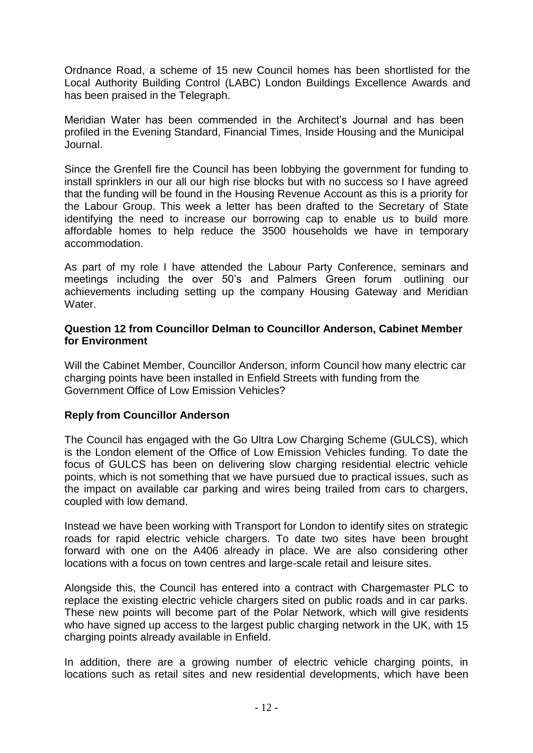Ordnance Road, a scheme of 15 new Council homes has been shortlisted for the Local Authority Building Control (LABC) London Buildings Excellence Awards and has been praised in the Telegraph.

Meridian Water has been commended in the Architect's Journal and has been profiled in the Evening Standard, Financial Times, Inside Housing and the Municipal Journal.

Since the Grenfell fire the Council has been lobbying the government for funding to install sprinklers in our all our high rise blocks but with no success so I have agreed that the funding will be found in the Housing Revenue Account as this is a priority for the Labour Group. This week a letter has been drafted to the Secretary of State identifying the need to increase our borrowing cap to enable us to build more affordable homes to help reduce the 3500 households we have in temporary accommodation.

As part of my role I have attended the Labour Party Conference, seminars and meetings including the over 50's and Palmers Green forum outlining our achievements including setting up the company Housing Gateway and Meridian Water.

#### **Question 12 from Councillor Delman to Councillor Anderson, Cabinet Member for Environment**

Will the Cabinet Member, Councillor Anderson, inform Council how many electric car charging points have been installed in Enfield Streets with funding from the Government Office of Low Emission Vehicles?

## **Reply from Councillor Anderson**

The Council has engaged with the Go Ultra Low Charging Scheme (GULCS), which is the London element of the Office of Low Emission Vehicles funding. To date the focus of GULCS has been on delivering slow charging residential electric vehicle points, which is not something that we have pursued due to practical issues, such as the impact on available car parking and wires being trailed from cars to chargers, coupled with low demand.

Instead we have been working with Transport for London to identify sites on strategic roads for rapid electric vehicle chargers. To date two sites have been brought forward with one on the A406 already in place. We are also considering other locations with a focus on town centres and large-scale retail and leisure sites.

Alongside this, the Council has entered into a contract with Chargemaster PLC to replace the existing electric vehicle chargers sited on public roads and in car parks. These new points will become part of the Polar Network, which will give residents who have signed up access to the largest public charging network in the UK, with 15 charging points already available in Enfield.

In addition, there are a growing number of electric vehicle charging points, in locations such as retail sites and new residential developments, which have been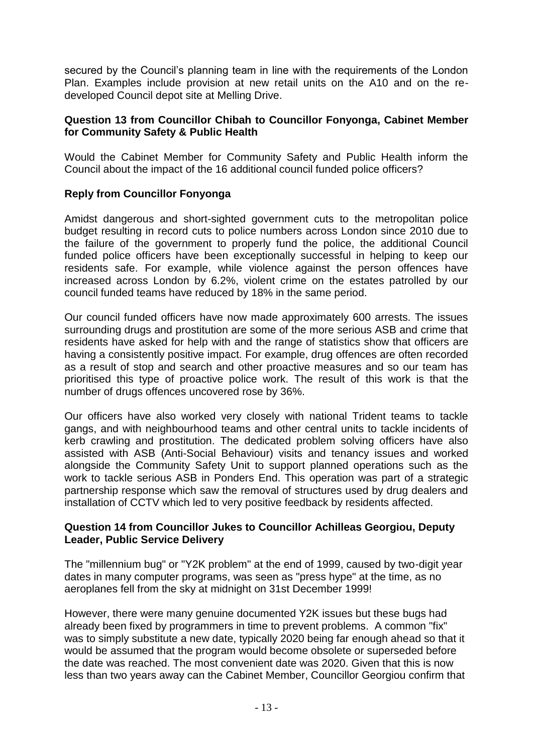secured by the Council's planning team in line with the requirements of the London Plan. Examples include provision at new retail units on the A10 and on the redeveloped Council depot site at Melling Drive.

## **Question 13 from Councillor Chibah to Councillor Fonyonga, Cabinet Member for Community Safety & Public Health**

Would the Cabinet Member for Community Safety and Public Health inform the Council about the impact of the 16 additional council funded police officers?

## **Reply from Councillor Fonyonga**

Amidst dangerous and short-sighted government cuts to the metropolitan police budget resulting in record cuts to police numbers across London since 2010 due to the failure of the government to properly fund the police, the additional Council funded police officers have been exceptionally successful in helping to keep our residents safe. For example, while violence against the person offences have increased across London by 6.2%, violent crime on the estates patrolled by our council funded teams have reduced by 18% in the same period.

Our council funded officers have now made approximately 600 arrests. The issues surrounding drugs and prostitution are some of the more serious ASB and crime that residents have asked for help with and the range of statistics show that officers are having a consistently positive impact. For example, drug offences are often recorded as a result of stop and search and other proactive measures and so our team has prioritised this type of proactive police work. The result of this work is that the number of drugs offences uncovered rose by 36%.

Our officers have also worked very closely with national Trident teams to tackle gangs, and with neighbourhood teams and other central units to tackle incidents of kerb crawling and prostitution. The dedicated problem solving officers have also assisted with ASB (Anti-Social Behaviour) visits and tenancy issues and worked alongside the Community Safety Unit to support planned operations such as the work to tackle serious ASB in Ponders End. This operation was part of a strategic partnership response which saw the removal of structures used by drug dealers and installation of CCTV which led to very positive feedback by residents affected.

## **Question 14 from Councillor Jukes to Councillor Achilleas Georgiou, Deputy Leader, Public Service Delivery**

The "millennium bug" or "Y2K problem" at the end of 1999, caused by two-digit year dates in many computer programs, was seen as "press hype" at the time, as no aeroplanes fell from the sky at midnight on 31st December 1999!

However, there were many genuine documented Y2K issues but these bugs had already been fixed by programmers in time to prevent problems. A common "fix" was to simply substitute a new date, typically 2020 being far enough ahead so that it would be assumed that the program would become obsolete or superseded before the date was reached. The most convenient date was 2020. Given that this is now less than two years away can the Cabinet Member, Councillor Georgiou confirm that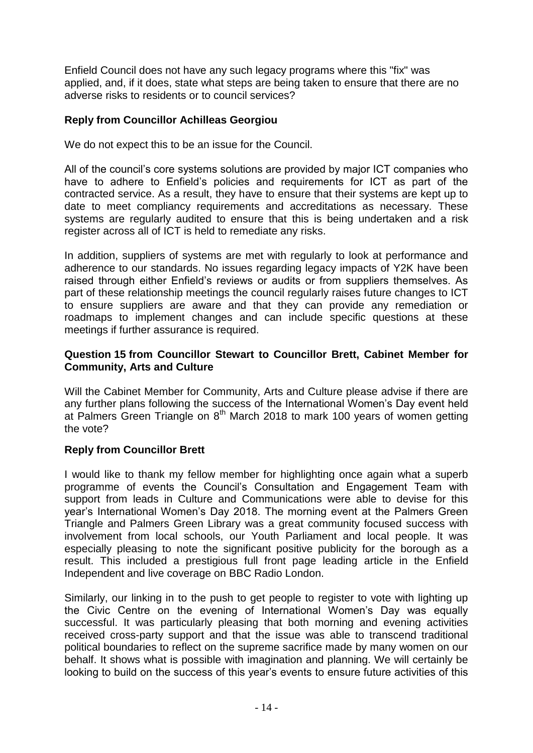Enfield Council does not have any such legacy programs where this "fix" was applied, and, if it does, state what steps are being taken to ensure that there are no adverse risks to residents or to council services?

# **Reply from Councillor Achilleas Georgiou**

We do not expect this to be an issue for the Council.

All of the council's core systems solutions are provided by major ICT companies who have to adhere to Enfield's policies and requirements for ICT as part of the contracted service. As a result, they have to ensure that their systems are kept up to date to meet compliancy requirements and accreditations as necessary. These systems are regularly audited to ensure that this is being undertaken and a risk register across all of ICT is held to remediate any risks.

In addition, suppliers of systems are met with regularly to look at performance and adherence to our standards. No issues regarding legacy impacts of Y2K have been raised through either Enfield's reviews or audits or from suppliers themselves. As part of these relationship meetings the council regularly raises future changes to ICT to ensure suppliers are aware and that they can provide any remediation or roadmaps to implement changes and can include specific questions at these meetings if further assurance is required.

## **Question 15 from Councillor Stewart to Councillor Brett, Cabinet Member for Community, Arts and Culture**

Will the Cabinet Member for Community, Arts and Culture please advise if there are any further plans following the success of the International Women's Day event held at Palmers Green Triangle on 8<sup>th</sup> March 2018 to mark 100 years of women getting the vote?

## **Reply from Councillor Brett**

I would like to thank my fellow member for highlighting once again what a superb programme of events the Council's Consultation and Engagement Team with support from leads in Culture and Communications were able to devise for this year's International Women's Day 2018. The morning event at the Palmers Green Triangle and Palmers Green Library was a great community focused success with involvement from local schools, our Youth Parliament and local people. It was especially pleasing to note the significant positive publicity for the borough as a result. This included a prestigious full front page leading article in the Enfield Independent and live coverage on BBC Radio London.

Similarly, our linking in to the push to get people to register to vote with lighting up the Civic Centre on the evening of International Women's Day was equally successful. It was particularly pleasing that both morning and evening activities received cross-party support and that the issue was able to transcend traditional political boundaries to reflect on the supreme sacrifice made by many women on our behalf. It shows what is possible with imagination and planning. We will certainly be looking to build on the success of this year's events to ensure future activities of this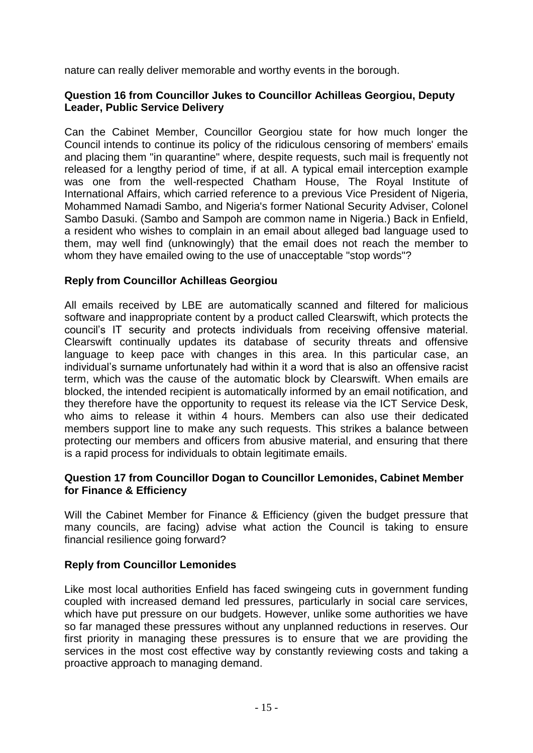nature can really deliver memorable and worthy events in the borough.

## **Question 16 from Councillor Jukes to Councillor Achilleas Georgiou, Deputy Leader, Public Service Delivery**

Can the Cabinet Member, Councillor Georgiou state for how much longer the Council intends to continue its policy of the ridiculous censoring of members' emails and placing them "in quarantine" where, despite requests, such mail is frequently not released for a lengthy period of time, if at all. A typical email interception example was one from the well-respected Chatham House, The Royal Institute of International Affairs, which carried reference to a previous Vice President of Nigeria, Mohammed Namadi Sambo, and Nigeria's former National Security Adviser, Colonel Sambo Dasuki. (Sambo and Sampoh are common name in Nigeria.) Back in Enfield, a resident who wishes to complain in an email about alleged bad language used to them, may well find (unknowingly) that the email does not reach the member to whom they have emailed owing to the use of unacceptable "stop words"?

## **Reply from Councillor Achilleas Georgiou**

All emails received by LBE are automatically scanned and filtered for malicious software and inappropriate content by a product called Clearswift, which protects the council's IT security and protects individuals from receiving offensive material. Clearswift continually updates its database of security threats and offensive language to keep pace with changes in this area. In this particular case, an individual's surname unfortunately had within it a word that is also an offensive racist term, which was the cause of the automatic block by Clearswift. When emails are blocked, the intended recipient is automatically informed by an email notification, and they therefore have the opportunity to request its release via the ICT Service Desk, who aims to release it within 4 hours. Members can also use their dedicated members support line to make any such requests. This strikes a balance between protecting our members and officers from abusive material, and ensuring that there is a rapid process for individuals to obtain legitimate emails.

## **Question 17 from Councillor Dogan to Councillor Lemonides, Cabinet Member for Finance & Efficiency**

Will the Cabinet Member for Finance & Efficiency (given the budget pressure that many councils, are facing) advise what action the Council is taking to ensure financial resilience going forward?

## **Reply from Councillor Lemonides**

Like most local authorities Enfield has faced swingeing cuts in government funding coupled with increased demand led pressures, particularly in social care services, which have put pressure on our budgets. However, unlike some authorities we have so far managed these pressures without any unplanned reductions in reserves. Our first priority in managing these pressures is to ensure that we are providing the services in the most cost effective way by constantly reviewing costs and taking a proactive approach to managing demand.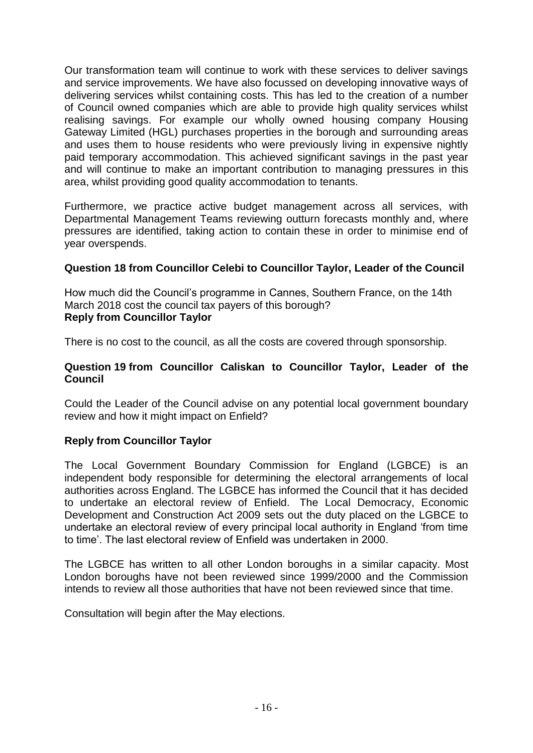Our transformation team will continue to work with these services to deliver savings and service improvements. We have also focussed on developing innovative ways of delivering services whilst containing costs. This has led to the creation of a number of Council owned companies which are able to provide high quality services whilst realising savings. For example our wholly owned housing company Housing Gateway Limited (HGL) purchases properties in the borough and surrounding areas and uses them to house residents who were previously living in expensive nightly paid temporary accommodation. This achieved significant savings in the past year and will continue to make an important contribution to managing pressures in this area, whilst providing good quality accommodation to tenants.

Furthermore, we practice active budget management across all services, with Departmental Management Teams reviewing outturn forecasts monthly and, where pressures are identified, taking action to contain these in order to minimise end of year overspends.

## **Question 18 from Councillor Celebi to Councillor Taylor, Leader of the Council**

How much did the Council's programme in Cannes, Southern France, on the 14th March 2018 cost the council tax payers of this borough? **Reply from Councillor Taylor**

There is no cost to the council, as all the costs are covered through sponsorship.

#### **Question 19 from Councillor Caliskan to Councillor Taylor, Leader of the Council**

Could the Leader of the Council advise on any potential local government boundary review and how it might impact on Enfield?

## **Reply from Councillor Taylor**

The Local Government Boundary Commission for England (LGBCE) is an independent body responsible for determining the electoral arrangements of local authorities across England. The LGBCE has informed the Council that it has decided to undertake an electoral review of Enfield. The Local Democracy, Economic Development and Construction Act 2009 sets out the duty placed on the LGBCE to undertake an electoral review of every principal local authority in England 'from time to time'. The last electoral review of Enfield was undertaken in 2000.

The LGBCE has written to all other London boroughs in a similar capacity. Most London boroughs have not been reviewed since 1999/2000 and the Commission intends to review all those authorities that have not been reviewed since that time.

Consultation will begin after the May elections.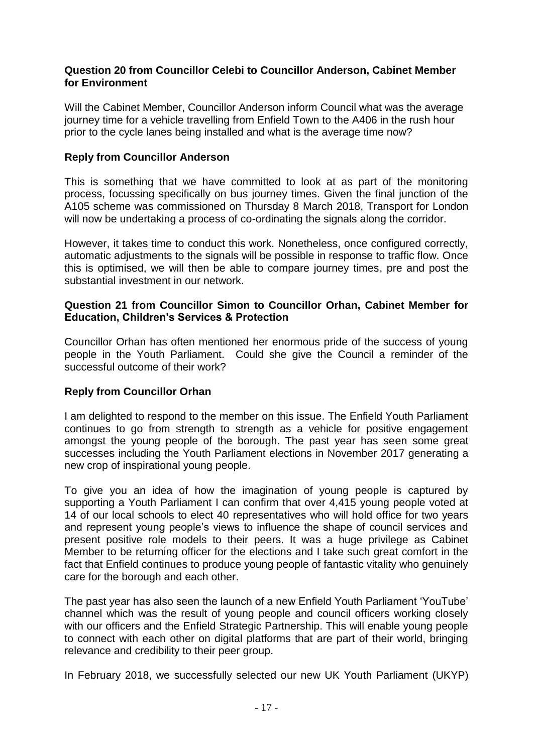#### **Question 20 from Councillor Celebi to Councillor Anderson, Cabinet Member for Environment**

Will the Cabinet Member, Councillor Anderson inform Council what was the average journey time for a vehicle travelling from Enfield Town to the A406 in the rush hour prior to the cycle lanes being installed and what is the average time now?

## **Reply from Councillor Anderson**

This is something that we have committed to look at as part of the monitoring process, focussing specifically on bus journey times. Given the final junction of the A105 scheme was commissioned on Thursday 8 March 2018, Transport for London will now be undertaking a process of co-ordinating the signals along the corridor.

However, it takes time to conduct this work. Nonetheless, once configured correctly, automatic adjustments to the signals will be possible in response to traffic flow. Once this is optimised, we will then be able to compare journey times, pre and post the substantial investment in our network.

#### **Question 21 from Councillor Simon to Councillor Orhan, Cabinet Member for Education, Children's Services & Protection**

Councillor Orhan has often mentioned her enormous pride of the success of young people in the Youth Parliament. Could she give the Council a reminder of the successful outcome of their work?

## **Reply from Councillor Orhan**

I am delighted to respond to the member on this issue. The Enfield Youth Parliament continues to go from strength to strength as a vehicle for positive engagement amongst the young people of the borough. The past year has seen some great successes including the Youth Parliament elections in November 2017 generating a new crop of inspirational young people.

To give you an idea of how the imagination of young people is captured by supporting a Youth Parliament I can confirm that over 4,415 young people voted at 14 of our local schools to elect 40 representatives who will hold office for two years and represent young people's views to influence the shape of council services and present positive role models to their peers. It was a huge privilege as Cabinet Member to be returning officer for the elections and I take such great comfort in the fact that Enfield continues to produce young people of fantastic vitality who genuinely care for the borough and each other.

The past year has also seen the launch of a new Enfield Youth Parliament 'YouTube' channel which was the result of young people and council officers working closely with our officers and the Enfield Strategic Partnership. This will enable young people to connect with each other on digital platforms that are part of their world, bringing relevance and credibility to their peer group.

In February 2018, we successfully selected our new UK Youth Parliament (UKYP)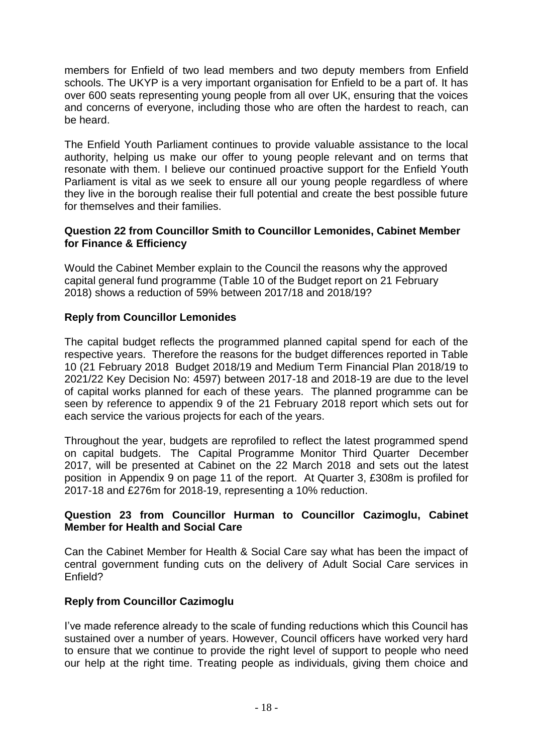members for Enfield of two lead members and two deputy members from Enfield schools. The UKYP is a very important organisation for Enfield to be a part of. It has over 600 seats representing young people from all over UK, ensuring that the voices and concerns of everyone, including those who are often the hardest to reach, can be heard.

The Enfield Youth Parliament continues to provide valuable assistance to the local authority, helping us make our offer to young people relevant and on terms that resonate with them. I believe our continued proactive support for the Enfield Youth Parliament is vital as we seek to ensure all our young people regardless of where they live in the borough realise their full potential and create the best possible future for themselves and their families.

## **Question 22 from Councillor Smith to Councillor Lemonides, Cabinet Member for Finance & Efficiency**

Would the Cabinet Member explain to the Council the reasons why the approved capital general fund programme (Table 10 of the Budget report on 21 February 2018) shows a reduction of 59% between 2017/18 and 2018/19?

# **Reply from Councillor Lemonides**

The capital budget reflects the programmed planned capital spend for each of the respective years. Therefore the reasons for the budget differences reported in Table 10 (21 February 2018 Budget 2018/19 and Medium Term Financial Plan 2018/19 to 2021/22 Key Decision No: 4597) between 2017-18 and 2018-19 are due to the level of capital works planned for each of these years. The planned programme can be seen by reference to appendix 9 of the 21 February 2018 report which sets out for each service the various projects for each of the years.

Throughout the year, budgets are reprofiled to reflect the latest programmed spend on capital budgets. The Capital Programme Monitor Third Quarter December 2017, will be presented at Cabinet on the 22 March 2018 and sets out the latest position in Appendix 9 on page 11 of the report. At Quarter 3, £308m is profiled for 2017-18 and £276m for 2018-19, representing a 10% reduction.

## **Question 23 from Councillor Hurman to Councillor Cazimoglu, Cabinet Member for Health and Social Care**

Can the Cabinet Member for Health & Social Care say what has been the impact of central government funding cuts on the delivery of Adult Social Care services in Enfield?

## **Reply from Councillor Cazimoglu**

I've made reference already to the scale of funding reductions which this Council has sustained over a number of years. However, Council officers have worked very hard to ensure that we continue to provide the right level of support to people who need our help at the right time. Treating people as individuals, giving them choice and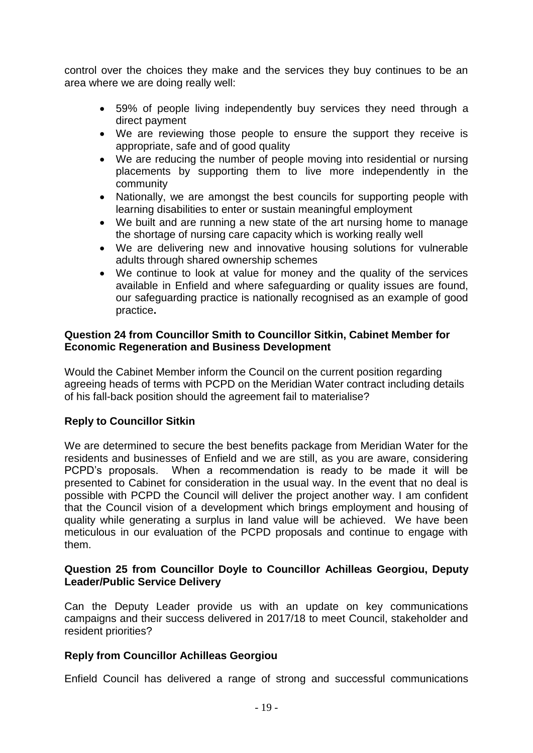control over the choices they make and the services they buy continues to be an area where we are doing really well:

- 59% of people living independently buy services they need through a direct payment
- We are reviewing those people to ensure the support they receive is appropriate, safe and of good quality
- We are reducing the number of people moving into residential or nursing placements by supporting them to live more independently in the community
- Nationally, we are amongst the best councils for supporting people with learning disabilities to enter or sustain meaningful employment
- We built and are running a new state of the art nursing home to manage the shortage of nursing care capacity which is working really well
- We are delivering new and innovative housing solutions for vulnerable adults through shared ownership schemes
- We continue to look at value for money and the quality of the services available in Enfield and where safeguarding or quality issues are found, our safeguarding practice is nationally recognised as an example of good practice**.**

## **Question 24 from Councillor Smith to Councillor Sitkin, Cabinet Member for Economic Regeneration and Business Development**

Would the Cabinet Member inform the Council on the current position regarding agreeing heads of terms with PCPD on the Meridian Water contract including details of his fall-back position should the agreement fail to materialise?

## **Reply to Councillor Sitkin**

We are determined to secure the best benefits package from Meridian Water for the residents and businesses of Enfield and we are still, as you are aware, considering PCPD's proposals. When a recommendation is ready to be made it will be presented to Cabinet for consideration in the usual way. In the event that no deal is possible with PCPD the Council will deliver the project another way. I am confident that the Council vision of a development which brings employment and housing of quality while generating a surplus in land value will be achieved. We have been meticulous in our evaluation of the PCPD proposals and continue to engage with them.

#### **Question 25 from Councillor Doyle to Councillor Achilleas Georgiou, Deputy Leader/Public Service Delivery**

Can the Deputy Leader provide us with an update on key communications campaigns and their success delivered in 2017/18 to meet Council, stakeholder and resident priorities?

#### **Reply from Councillor Achilleas Georgiou**

Enfield Council has delivered a range of strong and successful communications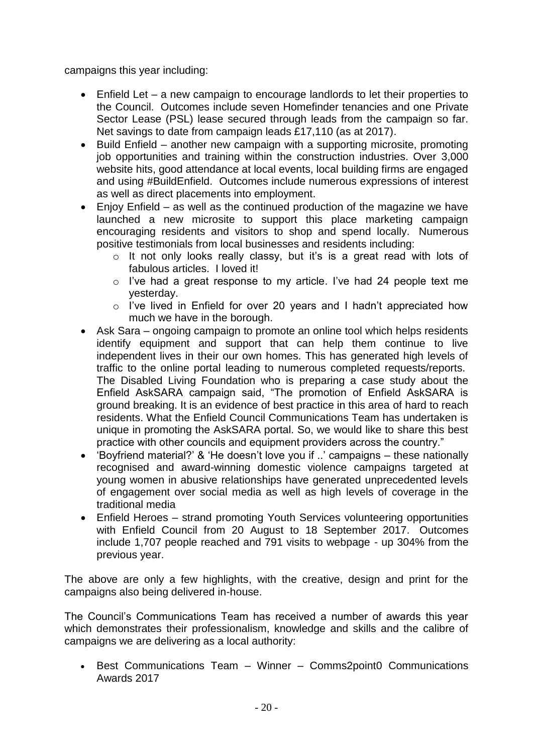campaigns this year including:

- Enfield Let a new campaign to encourage landlords to let their properties to the Council. Outcomes include seven Homefinder tenancies and one Private Sector Lease (PSL) lease secured through leads from the campaign so far. Net savings to date from campaign leads £17,110 (as at 2017).
- Build Enfield another new campaign with a supporting microsite, promoting job opportunities and training within the construction industries. Over 3,000 website hits, good attendance at local events, local building firms are engaged and using #BuildEnfield. Outcomes include numerous expressions of interest as well as direct placements into employment.
- Enjoy Enfield as well as the continued production of the magazine we have launched a new microsite to support this place marketing campaign encouraging residents and visitors to shop and spend locally. Numerous positive testimonials from local businesses and residents including:
	- o It not only looks really classy, but it's is a great read with lots of fabulous articles. I loved it!
	- o I've had a great response to my article. I've had 24 people text me yesterday.
	- o I've lived in Enfield for over 20 years and I hadn't appreciated how much we have in the borough.
- Ask Sara ongoing campaign to promote an online tool which helps residents identify equipment and support that can help them continue to live independent lives in their our own homes. This has generated high levels of traffic to the online portal leading to numerous completed requests/reports. The Disabled Living Foundation who is preparing a case study about the Enfield AskSARA campaign said, "The promotion of Enfield AskSARA is ground breaking. It is an evidence of best practice in this area of hard to reach residents. What the Enfield Council Communications Team has undertaken is unique in promoting the AskSARA portal. So, we would like to share this best practice with other councils and equipment providers across the country."
- 'Boyfriend material?' & 'He doesn't love you if ..' campaigns these nationally recognised and award-winning domestic violence campaigns targeted at young women in abusive relationships have generated unprecedented levels of engagement over social media as well as high levels of coverage in the traditional media
- Enfield Heroes strand promoting Youth Services volunteering opportunities with Enfield Council from 20 August to 18 September 2017. Outcomes include 1,707 people reached and 791 visits to webpage - up 304% from the previous year.

The above are only a few highlights, with the creative, design and print for the campaigns also being delivered in-house.

The Council's Communications Team has received a number of awards this year which demonstrates their professionalism, knowledge and skills and the calibre of campaigns we are delivering as a local authority:

 Best Communications Team – Winner – Comms2point0 Communications Awards 2017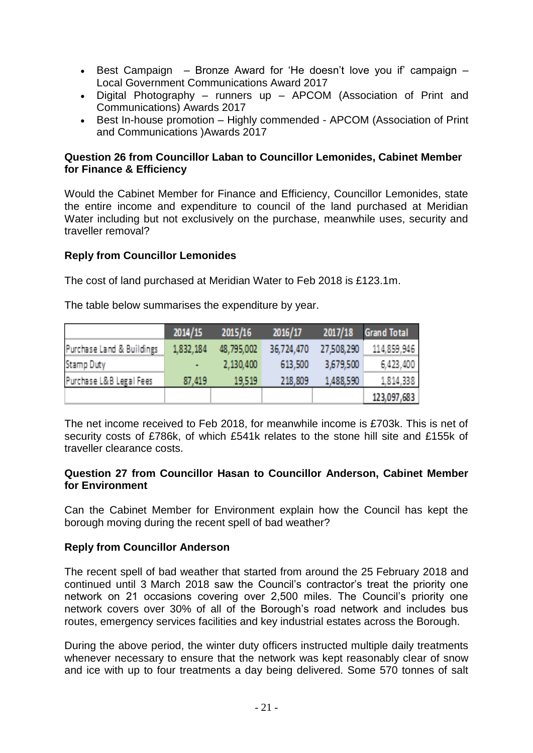- Best Campaign Bronze Award for 'He doesn't love you if' campaign Local Government Communications Award 2017
- Digital Photography runners up APCOM (Association of Print and Communications) Awards 2017
- Best In-house promotion Highly commended APCOM (Association of Print and Communications )Awards 2017

## **Question 26 from Councillor Laban to Councillor Lemonides, Cabinet Member for Finance & Efficiency**

Would the Cabinet Member for Finance and Efficiency, Councillor Lemonides, state the entire income and expenditure to council of the land purchased at Meridian Water including but not exclusively on the purchase, meanwhile uses, security and traveller removal?

## **Reply from Councillor Lemonides**

The cost of land purchased at Meridian Water to Feb 2018 is £123.1m.

The table below summarises the expenditure by year.

|                           | 2014/15   | 2015/16    | 2016/17    | 2017/18    | <b>Grand Total</b> |
|---------------------------|-----------|------------|------------|------------|--------------------|
| Purchase Land & Buildings | 1,832,184 | 48.795.002 | 36,724,470 | 27,508,290 | 114,859,946        |
| Stamp Duty                | ٠         | 2,130,400  | 613,500    | 3,679,500  | 6,423,400          |
| Purchase L&B Legal Fees   | 87,419    | 19.519     | 218,809    | 1,488.590  | 1,814,338          |
|                           |           |            |            |            | 123,097,683        |

The net income received to Feb 2018, for meanwhile income is £703k. This is net of security costs of £786k, of which £541k relates to the stone hill site and £155k of traveller clearance costs.

#### **Question 27 from Councillor Hasan to Councillor Anderson, Cabinet Member for Environment**

Can the Cabinet Member for Environment explain how the Council has kept the borough moving during the recent spell of bad weather?

#### **Reply from Councillor Anderson**

The recent spell of bad weather that started from around the 25 February 2018 and continued until 3 March 2018 saw the Council's contractor's treat the priority one network on 21 occasions covering over 2,500 miles. The Council's priority one network covers over 30% of all of the Borough's road network and includes bus routes, emergency services facilities and key industrial estates across the Borough.

During the above period, the winter duty officers instructed multiple daily treatments whenever necessary to ensure that the network was kept reasonably clear of snow and ice with up to four treatments a day being delivered. Some 570 tonnes of salt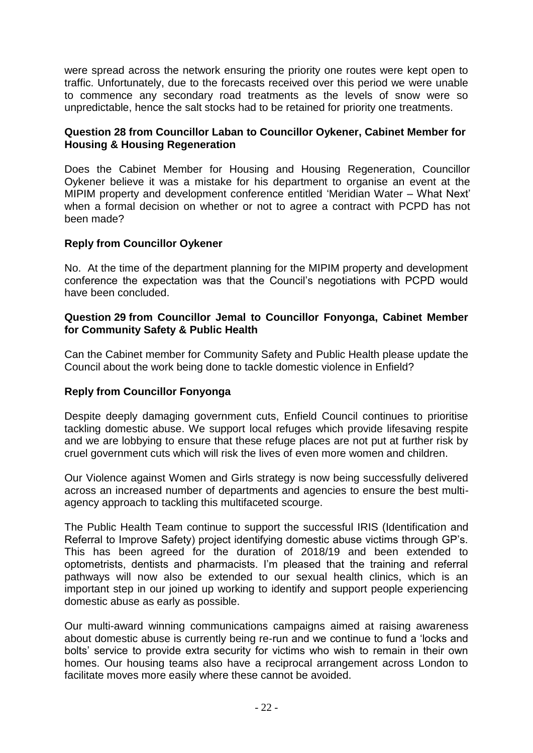were spread across the network ensuring the priority one routes were kept open to traffic. Unfortunately, due to the forecasts received over this period we were unable to commence any secondary road treatments as the levels of snow were so unpredictable, hence the salt stocks had to be retained for priority one treatments.

## **Question 28 from Councillor Laban to Councillor Oykener, Cabinet Member for Housing & Housing Regeneration**

Does the Cabinet Member for Housing and Housing Regeneration, Councillor Oykener believe it was a mistake for his department to organise an event at the MIPIM property and development conference entitled 'Meridian Water – What Next' when a formal decision on whether or not to agree a contract with PCPD has not been made?

## **Reply from Councillor Oykener**

No. At the time of the department planning for the MIPIM property and development conference the expectation was that the Council's negotiations with PCPD would have been concluded.

#### **Question 29 from Councillor Jemal to Councillor Fonyonga, Cabinet Member for Community Safety & Public Health**

Can the Cabinet member for Community Safety and Public Health please update the Council about the work being done to tackle domestic violence in Enfield?

## **Reply from Councillor Fonyonga**

Despite deeply damaging government cuts, Enfield Council continues to prioritise tackling domestic abuse. We support local refuges which provide lifesaving respite and we are lobbying to ensure that these refuge places are not put at further risk by cruel government cuts which will risk the lives of even more women and children.

Our Violence against Women and Girls strategy is now being successfully delivered across an increased number of departments and agencies to ensure the best multiagency approach to tackling this multifaceted scourge.

The Public Health Team continue to support the successful IRIS (Identification and Referral to Improve Safety) project identifying domestic abuse victims through GP's. This has been agreed for the duration of 2018/19 and been extended to optometrists, dentists and pharmacists. I'm pleased that the training and referral pathways will now also be extended to our sexual health clinics, which is an important step in our joined up working to identify and support people experiencing domestic abuse as early as possible.

Our multi-award winning communications campaigns aimed at raising awareness about domestic abuse is currently being re-run and we continue to fund a 'locks and bolts' service to provide extra security for victims who wish to remain in their own homes. Our housing teams also have a reciprocal arrangement across London to facilitate moves more easily where these cannot be avoided.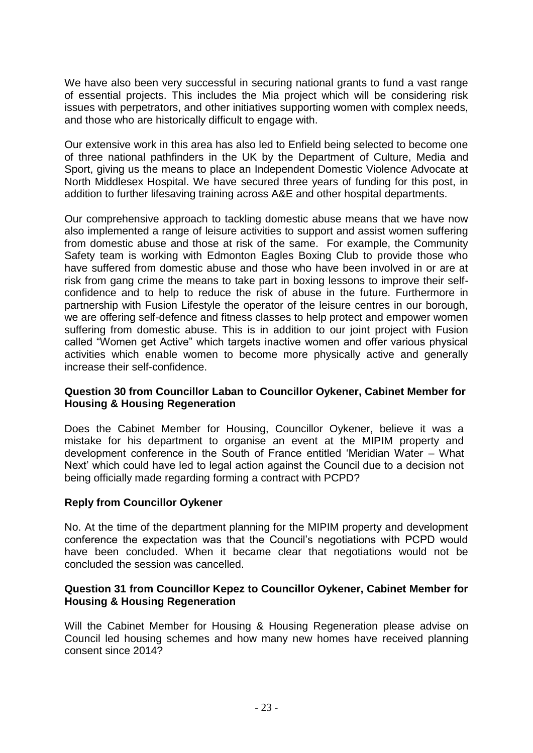We have also been very successful in securing national grants to fund a vast range of essential projects. This includes the Mia project which will be considering risk issues with perpetrators, and other initiatives supporting women with complex needs, and those who are historically difficult to engage with.

Our extensive work in this area has also led to Enfield being selected to become one of three national pathfinders in the UK by the Department of Culture, Media and Sport, giving us the means to place an Independent Domestic Violence Advocate at North Middlesex Hospital. We have secured three years of funding for this post, in addition to further lifesaving training across A&E and other hospital departments.

Our comprehensive approach to tackling domestic abuse means that we have now also implemented a range of leisure activities to support and assist women suffering from domestic abuse and those at risk of the same. For example, the Community Safety team is working with Edmonton Eagles Boxing Club to provide those who have suffered from domestic abuse and those who have been involved in or are at risk from gang crime the means to take part in boxing lessons to improve their selfconfidence and to help to reduce the risk of abuse in the future. Furthermore in partnership with Fusion Lifestyle the operator of the leisure centres in our borough, we are offering self-defence and fitness classes to help protect and empower women suffering from domestic abuse. This is in addition to our joint project with Fusion called "Women get Active" which targets inactive women and offer various physical activities which enable women to become more physically active and generally increase their self-confidence.

## **Question 30 from Councillor Laban to Councillor Oykener, Cabinet Member for Housing & Housing Regeneration**

Does the Cabinet Member for Housing, Councillor Oykener, believe it was a mistake for his department to organise an event at the MIPIM property and development conference in the South of France entitled 'Meridian Water – What Next' which could have led to legal action against the Council due to a decision not being officially made regarding forming a contract with PCPD?

## **Reply from Councillor Oykener**

No. At the time of the department planning for the MIPIM property and development conference the expectation was that the Council's negotiations with PCPD would have been concluded. When it became clear that negotiations would not be concluded the session was cancelled.

#### **Question 31 from Councillor Kepez to Councillor Oykener, Cabinet Member for Housing & Housing Regeneration**

Will the Cabinet Member for Housing & Housing Regeneration please advise on Council led housing schemes and how many new homes have received planning consent since 2014?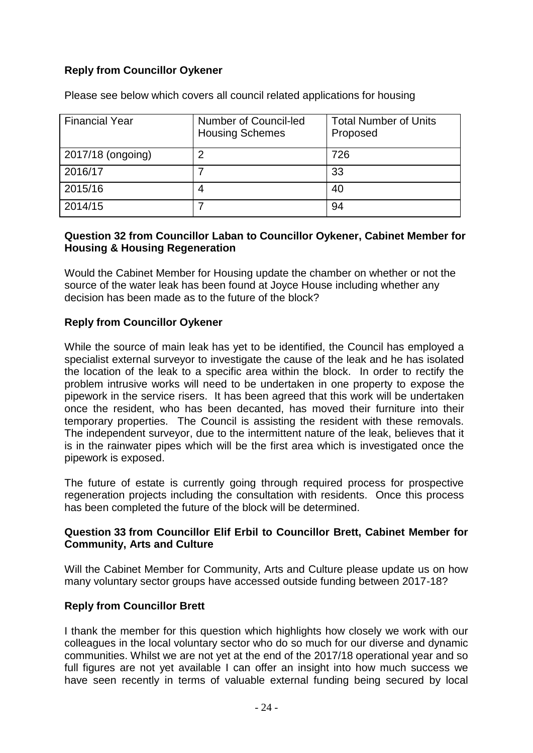# **Reply from Councillor Oykener**

| <b>Financial Year</b> | Number of Council-led<br><b>Housing Schemes</b> | <b>Total Number of Units</b><br>Proposed |
|-----------------------|-------------------------------------------------|------------------------------------------|
| 2017/18 (ongoing)     |                                                 | 726                                      |
| 2016/17               |                                                 | 33                                       |
| 2015/16               |                                                 | 40                                       |
| 2014/15               |                                                 | 94                                       |

Please see below which covers all council related applications for housing

#### **Question 32 from Councillor Laban to Councillor Oykener, Cabinet Member for Housing & Housing Regeneration**

Would the Cabinet Member for Housing update the chamber on whether or not the source of the water leak has been found at Joyce House including whether any decision has been made as to the future of the block?

## **Reply from Councillor Oykener**

While the source of main leak has yet to be identified, the Council has employed a specialist external surveyor to investigate the cause of the leak and he has isolated the location of the leak to a specific area within the block. In order to rectify the problem intrusive works will need to be undertaken in one property to expose the pipework in the service risers. It has been agreed that this work will be undertaken once the resident, who has been decanted, has moved their furniture into their temporary properties. The Council is assisting the resident with these removals. The independent surveyor, due to the intermittent nature of the leak, believes that it is in the rainwater pipes which will be the first area which is investigated once the pipework is exposed.

The future of estate is currently going through required process for prospective regeneration projects including the consultation with residents. Once this process has been completed the future of the block will be determined.

## **Question 33 from Councillor Elif Erbil to Councillor Brett, Cabinet Member for Community, Arts and Culture**

Will the Cabinet Member for Community, Arts and Culture please update us on how many voluntary sector groups have accessed outside funding between 2017-18?

## **Reply from Councillor Brett**

I thank the member for this question which highlights how closely we work with our colleagues in the local voluntary sector who do so much for our diverse and dynamic communities. Whilst we are not yet at the end of the 2017/18 operational year and so full figures are not yet available I can offer an insight into how much success we have seen recently in terms of valuable external funding being secured by local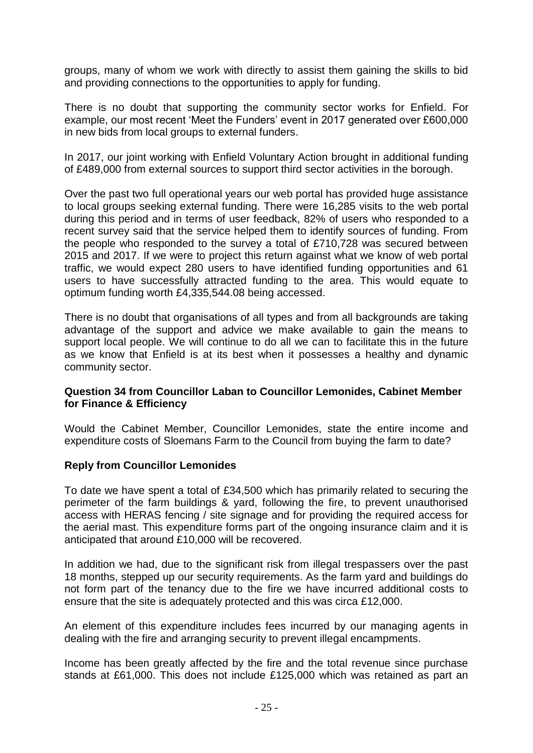groups, many of whom we work with directly to assist them gaining the skills to bid and providing connections to the opportunities to apply for funding.

There is no doubt that supporting the community sector works for Enfield. For example, our most recent 'Meet the Funders' event in 2017 generated over £600,000 in new bids from local groups to external funders.

In 2017, our joint working with Enfield Voluntary Action brought in additional funding of £489,000 from external sources to support third sector activities in the borough.

Over the past two full operational years our web portal has provided huge assistance to local groups seeking external funding. There were 16,285 visits to the web portal during this period and in terms of user feedback, 82% of users who responded to a recent survey said that the service helped them to identify sources of funding. From the people who responded to the survey a total of £710,728 was secured between 2015 and 2017. If we were to project this return against what we know of web portal traffic, we would expect 280 users to have identified funding opportunities and 61 users to have successfully attracted funding to the area. This would equate to optimum funding worth £4,335,544.08 being accessed.

There is no doubt that organisations of all types and from all backgrounds are taking advantage of the support and advice we make available to gain the means to support local people. We will continue to do all we can to facilitate this in the future as we know that Enfield is at its best when it possesses a healthy and dynamic community sector.

## **Question 34 from Councillor Laban to Councillor Lemonides, Cabinet Member for Finance & Efficiency**

Would the Cabinet Member, Councillor Lemonides, state the entire income and expenditure costs of Sloemans Farm to the Council from buying the farm to date?

## **Reply from Councillor Lemonides**

To date we have spent a total of £34,500 which has primarily related to securing the perimeter of the farm buildings & yard, following the fire, to prevent unauthorised access with HERAS fencing / site signage and for providing the required access for the aerial mast. This expenditure forms part of the ongoing insurance claim and it is anticipated that around £10,000 will be recovered.

In addition we had, due to the significant risk from illegal trespassers over the past 18 months, stepped up our security requirements. As the farm yard and buildings do not form part of the tenancy due to the fire we have incurred additional costs to ensure that the site is adequately protected and this was circa £12,000.

An element of this expenditure includes fees incurred by our managing agents in dealing with the fire and arranging security to prevent illegal encampments.

Income has been greatly affected by the fire and the total revenue since purchase stands at £61,000. This does not include £125,000 which was retained as part an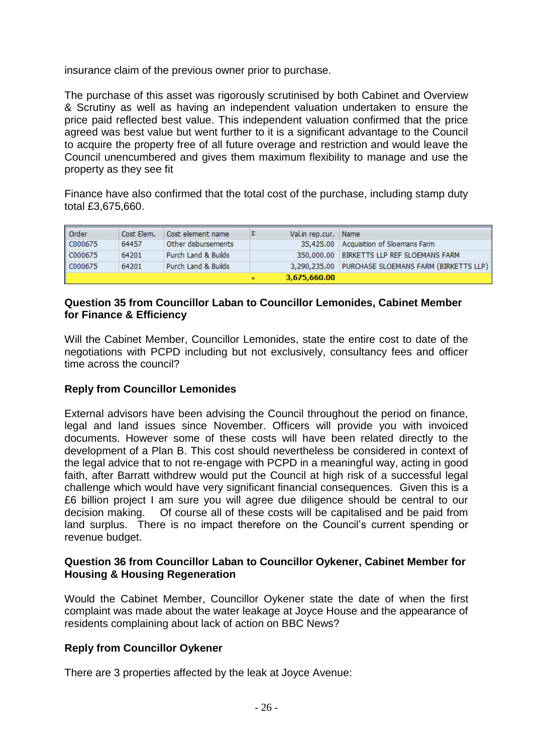insurance claim of the previous owner prior to purchase.

The purchase of this asset was rigorously scrutinised by both Cabinet and Overview & Scrutiny as well as having an independent valuation undertaken to ensure the price paid reflected best value. This independent valuation confirmed that the price agreed was best value but went further to it is a significant advantage to the Council to acquire the property free of all future overage and restriction and would leave the Council unencumbered and gives them maximum flexibility to manage and use the property as they see fit

Finance have also confirmed that the total cost of the purchase, including stamp duty total £3,675,660.

| l Order | Cost Elem. | Cost element name   | Val.in rep.cur. Name |                                                    |
|---------|------------|---------------------|----------------------|----------------------------------------------------|
| C000675 | 64457      | Other disbursements |                      | 35,425.00   Acquisition of Sloemans Farm           |
| C000675 | 64201      | Purch Land & Builds |                      | 350,000.00 BIRKETTS LLP REF SLOEMANS FARM          |
| C000675 | 64201      | Purch Land & Builds |                      | 3,290,235.00 PURCHASE SLOEMANS FARM (BIRKETTS LLP) |
|         |            |                     | 3,675,660.00         |                                                    |

#### **Question 35 from Councillor Laban to Councillor Lemonides, Cabinet Member for Finance & Efficiency**

Will the Cabinet Member, Councillor Lemonides, state the entire cost to date of the negotiations with PCPD including but not exclusively, consultancy fees and officer time across the council?

## **Reply from Councillor Lemonides**

External advisors have been advising the Council throughout the period on finance, legal and land issues since November. Officers will provide you with invoiced documents. However some of these costs will have been related directly to the development of a Plan B. This cost should nevertheless be considered in context of the legal advice that to not re-engage with PCPD in a meaningful way, acting in good faith, after Barratt withdrew would put the Council at high risk of a successful legal challenge which would have very significant financial consequences. Given this is a £6 billion project I am sure you will agree due diligence should be central to our decision making. Of course all of these costs will be capitalised and be paid from land surplus. There is no impact therefore on the Council's current spending or revenue budget.

## **Question 36 from Councillor Laban to Councillor Oykener, Cabinet Member for Housing & Housing Regeneration**

Would the Cabinet Member, Councillor Oykener state the date of when the first complaint was made about the water leakage at Joyce House and the appearance of residents complaining about lack of action on BBC News?

## **Reply from Councillor Oykener**

There are 3 properties affected by the leak at Joyce Avenue: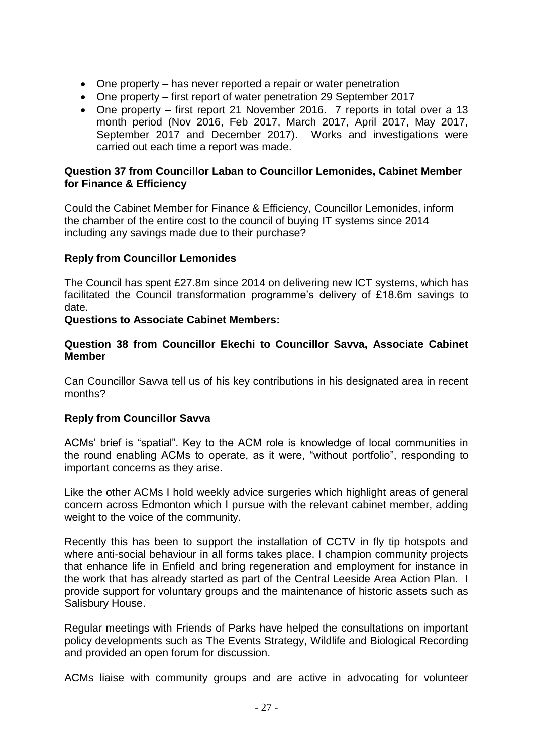- One property has never reported a repair or water penetration
- One property first report of water penetration 29 September 2017
- One property first report 21 November 2016. 7 reports in total over a 13 month period (Nov 2016, Feb 2017, March 2017, April 2017, May 2017, September 2017 and December 2017). Works and investigations were carried out each time a report was made.

#### **Question 37 from Councillor Laban to Councillor Lemonides, Cabinet Member for Finance & Efficiency**

Could the Cabinet Member for Finance & Efficiency, Councillor Lemonides, inform the chamber of the entire cost to the council of buying IT systems since 2014 including any savings made due to their purchase?

## **Reply from Councillor Lemonides**

The Council has spent £27.8m since 2014 on delivering new ICT systems, which has facilitated the Council transformation programme's delivery of £18.6m savings to date.

#### **Questions to Associate Cabinet Members:**

#### **Question 38 from Councillor Ekechi to Councillor Savva, Associate Cabinet Member**

Can Councillor Savva tell us of his key contributions in his designated area in recent months?

#### **Reply from Councillor Savva**

ACMs' brief is "spatial". Key to the ACM role is knowledge of local communities in the round enabling ACMs to operate, as it were, "without portfolio", responding to important concerns as they arise.

Like the other ACMs I hold weekly advice surgeries which highlight areas of general concern across Edmonton which I pursue with the relevant cabinet member, adding weight to the voice of the community.

Recently this has been to support the installation of CCTV in fly tip hotspots and where anti-social behaviour in all forms takes place. I champion community projects that enhance life in Enfield and bring regeneration and employment for instance in the work that has already started as part of the Central Leeside Area Action Plan. I provide support for voluntary groups and the maintenance of historic assets such as Salisbury House.

Regular meetings with Friends of Parks have helped the consultations on important policy developments such as The Events Strategy, Wildlife and Biological Recording and provided an open forum for discussion.

ACMs liaise with community groups and are active in advocating for volunteer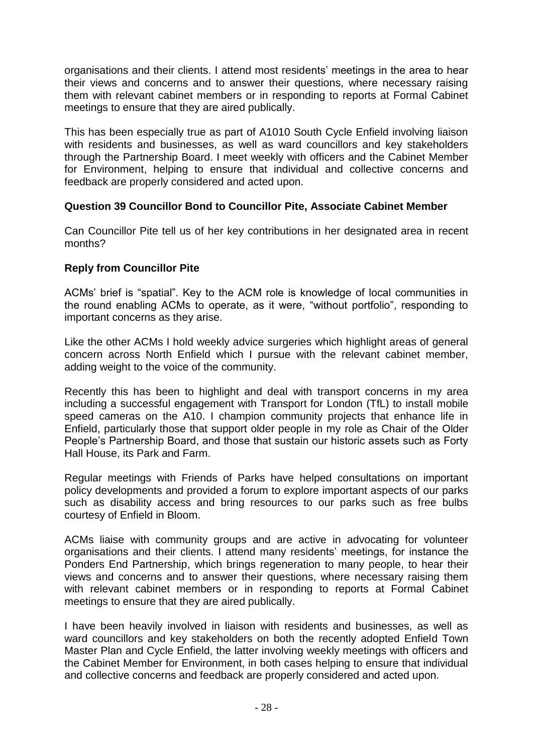organisations and their clients. I attend most residents' meetings in the area to hear their views and concerns and to answer their questions, where necessary raising them with relevant cabinet members or in responding to reports at Formal Cabinet meetings to ensure that they are aired publically.

This has been especially true as part of A1010 South Cycle Enfield involving liaison with residents and businesses, as well as ward councillors and key stakeholders through the Partnership Board. I meet weekly with officers and the Cabinet Member for Environment, helping to ensure that individual and collective concerns and feedback are properly considered and acted upon.

## **Question 39 Councillor Bond to Councillor Pite, Associate Cabinet Member**

Can Councillor Pite tell us of her key contributions in her designated area in recent months?

## **Reply from Councillor Pite**

ACMs' brief is "spatial". Key to the ACM role is knowledge of local communities in the round enabling ACMs to operate, as it were, "without portfolio", responding to important concerns as they arise.

Like the other ACMs I hold weekly advice surgeries which highlight areas of general concern across North Enfield which I pursue with the relevant cabinet member, adding weight to the voice of the community.

Recently this has been to highlight and deal with transport concerns in my area including a successful engagement with Transport for London (TfL) to install mobile speed cameras on the A10. I champion community projects that enhance life in Enfield, particularly those that support older people in my role as Chair of the Older People's Partnership Board, and those that sustain our historic assets such as Forty Hall House, its Park and Farm.

Regular meetings with Friends of Parks have helped consultations on important policy developments and provided a forum to explore important aspects of our parks such as disability access and bring resources to our parks such as free bulbs courtesy of Enfield in Bloom.

ACMs liaise with community groups and are active in advocating for volunteer organisations and their clients. I attend many residents' meetings, for instance the Ponders End Partnership, which brings regeneration to many people, to hear their views and concerns and to answer their questions, where necessary raising them with relevant cabinet members or in responding to reports at Formal Cabinet meetings to ensure that they are aired publically.

I have been heavily involved in liaison with residents and businesses, as well as ward councillors and key stakeholders on both the recently adopted Enfield Town Master Plan and Cycle Enfield, the latter involving weekly meetings with officers and the Cabinet Member for Environment, in both cases helping to ensure that individual and collective concerns and feedback are properly considered and acted upon.